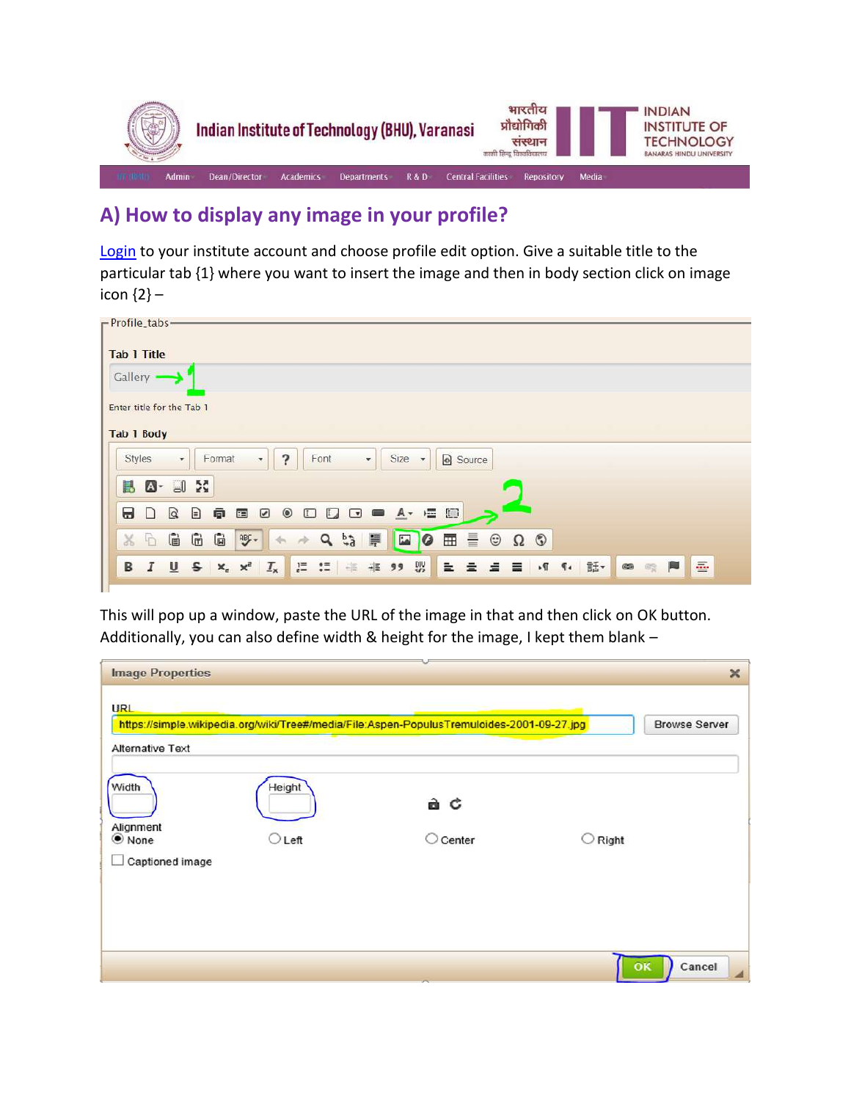

## **A) How to display any image in your profile?**

[Login](https://iitbhu.ac.in/user/login) to your institute account and choose profile edit option. Give a suitable title to the particular tab {1} where you want to insert the image and then in body section click on image icon {2} –

| -Profile_tabs-                                                                                                                                                               |  |  |  |  |  |
|------------------------------------------------------------------------------------------------------------------------------------------------------------------------------|--|--|--|--|--|
| <b>Tab 1 Title</b>                                                                                                                                                           |  |  |  |  |  |
| Gallery .                                                                                                                                                                    |  |  |  |  |  |
| Enter title for the Tab 1                                                                                                                                                    |  |  |  |  |  |
| Tab 1 Body                                                                                                                                                                   |  |  |  |  |  |
| ?<br>Size -<br>Font<br>Source<br>Styles<br>Format<br>$\star$<br>$\star$<br>$\overline{\phantom{a}}$                                                                          |  |  |  |  |  |
| $\mathbb{Z}$ - $\Box$ $\mathbb{Z}$<br>臥                                                                                                                                      |  |  |  |  |  |
| $\alpha$<br>這回<br>€<br>$\circledcirc$<br>Θ<br>鱼<br>$L_{\rm d}$<br>$A -$<br>$\circ$<br>国<br>$\Box$<br>☞<br>$\Box$<br>▬                                                        |  |  |  |  |  |
| $Q_{b2}$<br>⊞ 를<br>G<br>G<br>旱<br>$\overline{\mathbf{L}}$<br>$\Omega$ 0<br>G<br>$\frac{ABF}{2}$<br>$\odot$<br>$\chi$<br>$\ddot{\theta}$<br>$\boldsymbol{c}$<br>$\mathcal{A}$ |  |  |  |  |  |
| 양<br>上 三 三 目 川 1 話<br>$\equiv$<br>$B$ $I$ $U$ $S$ $x_e$ $x_e$<br><b>IE :           99</b><br>$\mathbf{I}_{\mathbf{x}}$<br>$\qquad \qquad \textcircled{\scriptsize{2}}$<br>eg |  |  |  |  |  |
|                                                                                                                                                                              |  |  |  |  |  |

This will pop up a window, paste the URL of the image in that and then click on OK button. Additionally, you can also define width & height for the image, I kept them blank –

| <b>Image Properties</b>                         |                          |                                                                                            |                  | $\times$             |
|-------------------------------------------------|--------------------------|--------------------------------------------------------------------------------------------|------------------|----------------------|
| <b>URL</b><br><b>Alternative Text</b>           |                          | https://simple.wikipedia.org/wiki/Tree#/media/File:Aspen-PopulusTremuloides-2001-09-27.jpg |                  | <b>Browse Server</b> |
| Width<br>Alignment<br>● None<br>Captioned image | Height<br>$\supset$ Left | a c<br>Center                                                                              | $\bigcirc$ Right |                      |
|                                                 |                          |                                                                                            | OK               | Cancel               |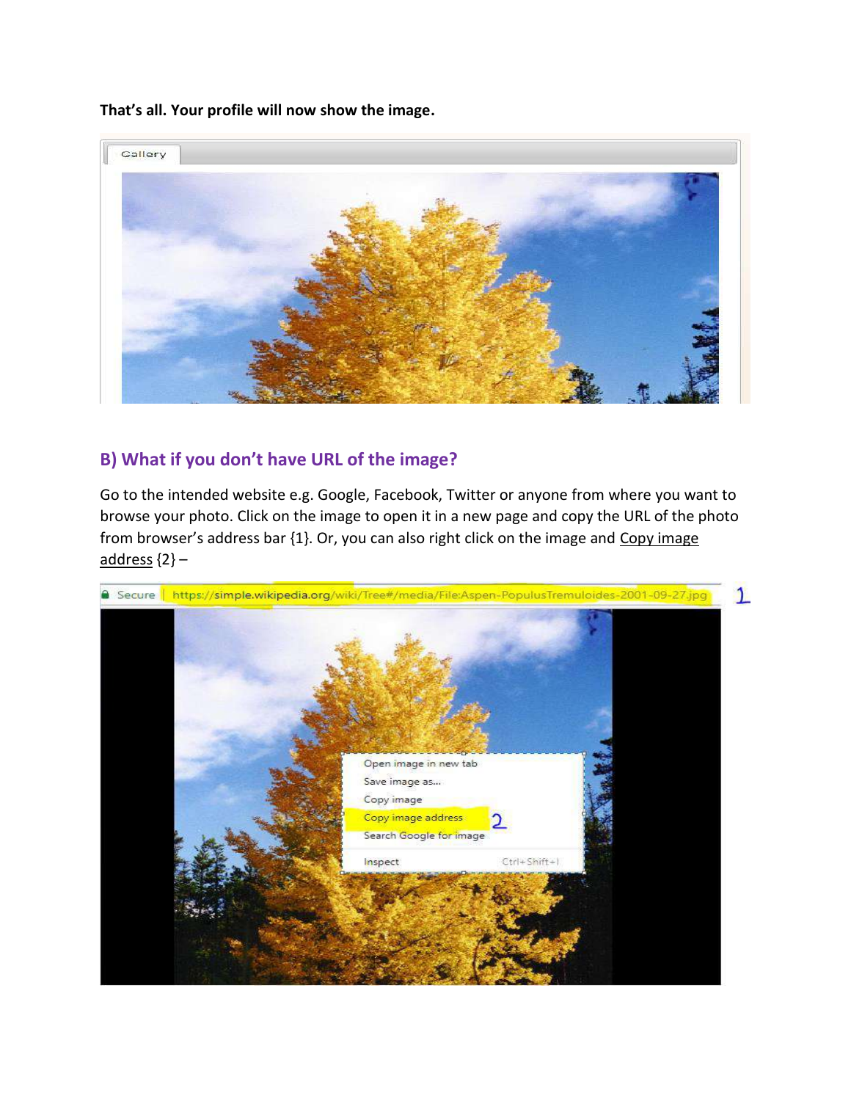**That's all. Your profile will now show the image.**



## **B) What if you don't have URL of the image?**

Go to the intended website e.g. Google, Facebook, Twitter or anyone from where you want to browse your photo. Click on the image to open it in a new page and copy the URL of the photo from browser's address bar {1}. Or, you can also right click on the image and Copy image  $address  ${2}$  –$